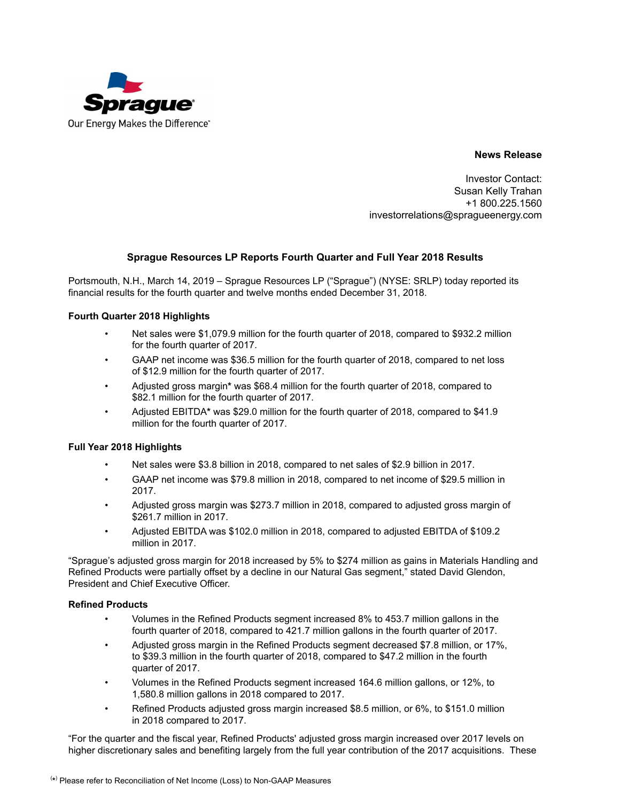

**News Release**

Investor Contact: Susan Kelly Trahan +1 800.225.1560 investorrelations@spragueenergy.com

### **Sprague Resources LP Reports Fourth Quarter and Full Year 2018 Results**

Portsmouth, N.H., March 14, 2019 – Sprague Resources LP ("Sprague") (NYSE: SRLP) today reported its financial results for the fourth quarter and twelve months ended December 31, 2018.

#### **Fourth Quarter 2018 Highlights**

- Net sales were \$1,079.9 million for the fourth quarter of 2018, compared to \$932.2 million for the fourth quarter of 2017.
- GAAP net income was \$36.5 million for the fourth quarter of 2018, compared to net loss of \$12.9 million for the fourth quarter of 2017.
- Adjusted gross margin**\*** was \$68.4 million for the fourth quarter of 2018, compared to \$82.1 million for the fourth quarter of 2017.
- Adjusted EBITDA**\*** was \$29.0 million for the fourth quarter of 2018, compared to \$41.9 million for the fourth quarter of 2017.

#### **Full Year 2018 Highlights**

- Net sales were \$3.8 billion in 2018, compared to net sales of \$2.9 billion in 2017.
- GAAP net income was \$79.8 million in 2018, compared to net income of \$29.5 million in 2017.
- Adjusted gross margin was \$273.7 million in 2018, compared to adjusted gross margin of \$261.7 million in 2017.
- Adjusted EBITDA was \$102.0 million in 2018, compared to adjusted EBITDA of \$109.2 million in 2017.

"Sprague's adjusted gross margin for 2018 increased by 5% to \$274 million as gains in Materials Handling and Refined Products were partially offset by a decline in our Natural Gas segment," stated David Glendon, President and Chief Executive Officer.

#### **Refined Products**

- Volumes in the Refined Products segment increased 8% to 453.7 million gallons in the fourth quarter of 2018, compared to 421.7 million gallons in the fourth quarter of 2017.
- Adjusted gross margin in the Refined Products segment decreased \$7.8 million, or 17%, to \$39.3 million in the fourth quarter of 2018, compared to \$47.2 million in the fourth quarter of 2017.
- Volumes in the Refined Products segment increased 164.6 million gallons, or 12%, to 1,580.8 million gallons in 2018 compared to 2017.
- Refined Products adjusted gross margin increased \$8.5 million, or 6%, to \$151.0 million in 2018 compared to 2017.

"For the quarter and the fiscal year, Refined Products' adjusted gross margin increased over 2017 levels on higher discretionary sales and benefiting largely from the full year contribution of the 2017 acquisitions. These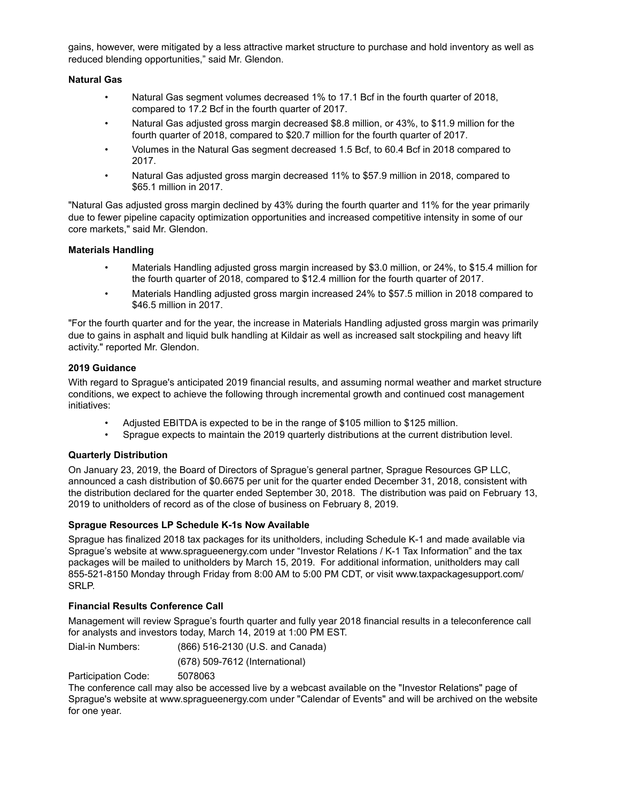gains, however, were mitigated by a less attractive market structure to purchase and hold inventory as well as reduced blending opportunities," said Mr. Glendon.

#### **Natural Gas**

- Natural Gas segment volumes decreased 1% to 17.1 Bcf in the fourth quarter of 2018, compared to 17.2 Bcf in the fourth quarter of 2017.
- Natural Gas adjusted gross margin decreased \$8.8 million, or 43%, to \$11.9 million for the fourth quarter of 2018, compared to \$20.7 million for the fourth quarter of 2017.
- Volumes in the Natural Gas segment decreased 1.5 Bcf, to 60.4 Bcf in 2018 compared to 2017.
- Natural Gas adjusted gross margin decreased 11% to \$57.9 million in 2018, compared to \$65.1 million in 2017.

"Natural Gas adjusted gross margin declined by 43% during the fourth quarter and 11% for the year primarily due to fewer pipeline capacity optimization opportunities and increased competitive intensity in some of our core markets," said Mr. Glendon.

#### **Materials Handling**

- Materials Handling adjusted gross margin increased by \$3.0 million, or 24%, to \$15.4 million for the fourth quarter of 2018, compared to \$12.4 million for the fourth quarter of 2017.
- Materials Handling adjusted gross margin increased 24% to \$57.5 million in 2018 compared to \$46.5 million in 2017.

"For the fourth quarter and for the year, the increase in Materials Handling adjusted gross margin was primarily due to gains in asphalt and liquid bulk handling at Kildair as well as increased salt stockpiling and heavy lift activity." reported Mr. Glendon.

#### **2019 Guidance**

With regard to Sprague's anticipated 2019 financial results, and assuming normal weather and market structure conditions, we expect to achieve the following through incremental growth and continued cost management initiatives:

- Adjusted EBITDA is expected to be in the range of \$105 million to \$125 million.
- Sprague expects to maintain the 2019 quarterly distributions at the current distribution level.

#### **Quarterly Distribution**

On January 23, 2019, the Board of Directors of Sprague's general partner, Sprague Resources GP LLC, announced a cash distribution of \$0.6675 per unit for the quarter ended December 31, 2018, consistent with the distribution declared for the quarter ended September 30, 2018. The distribution was paid on February 13, 2019 to unitholders of record as of the close of business on February 8, 2019.

#### **Sprague Resources LP Schedule K-1s Now Available**

Sprague has finalized 2018 tax packages for its unitholders, including Schedule K-1 and made available via Sprague's website at www.spragueenergy.com under "Investor Relations / K-1 Tax Information" and the tax packages will be mailed to unitholders by March 15, 2019. For additional information, unitholders may call 855-521-8150 Monday through Friday from 8:00 AM to 5:00 PM CDT, or visit www.taxpackagesupport.com/ SRLP.

#### **Financial Results Conference Call**

Management will review Sprague's fourth quarter and fully year 2018 financial results in a teleconference call for analysts and investors today, March 14, 2019 at 1:00 PM EST.

Dial-in Numbers: (866) 516-2130 (U.S. and Canada)

(678) 509-7612 (International)

Participation Code: 5078063

The conference call may also be accessed live by a webcast available on the "Investor Relations" page of Sprague's website at www.spragueenergy.com under "Calendar of Events" and will be archived on the website for one year.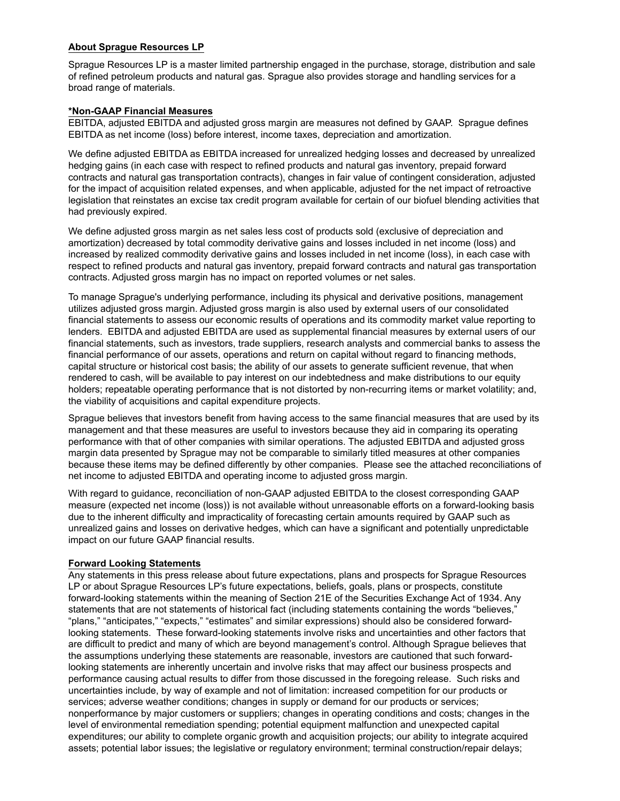### **About Sprague Resources LP**

Sprague Resources LP is a master limited partnership engaged in the purchase, storage, distribution and sale of refined petroleum products and natural gas. Sprague also provides storage and handling services for a broad range of materials.

### **\*Non-GAAP Financial Measures**

EBITDA, adjusted EBITDA and adjusted gross margin are measures not defined by GAAP. Sprague defines EBITDA as net income (loss) before interest, income taxes, depreciation and amortization.

We define adjusted EBITDA as EBITDA increased for unrealized hedging losses and decreased by unrealized hedging gains (in each case with respect to refined products and natural gas inventory, prepaid forward contracts and natural gas transportation contracts), changes in fair value of contingent consideration, adjusted for the impact of acquisition related expenses, and when applicable, adjusted for the net impact of retroactive legislation that reinstates an excise tax credit program available for certain of our biofuel blending activities that had previously expired.

We define adjusted gross margin as net sales less cost of products sold (exclusive of depreciation and amortization) decreased by total commodity derivative gains and losses included in net income (loss) and increased by realized commodity derivative gains and losses included in net income (loss), in each case with respect to refined products and natural gas inventory, prepaid forward contracts and natural gas transportation contracts. Adjusted gross margin has no impact on reported volumes or net sales.

To manage Sprague's underlying performance, including its physical and derivative positions, management utilizes adjusted gross margin. Adjusted gross margin is also used by external users of our consolidated financial statements to assess our economic results of operations and its commodity market value reporting to lenders. EBITDA and adjusted EBITDA are used as supplemental financial measures by external users of our financial statements, such as investors, trade suppliers, research analysts and commercial banks to assess the financial performance of our assets, operations and return on capital without regard to financing methods, capital structure or historical cost basis; the ability of our assets to generate sufficient revenue, that when rendered to cash, will be available to pay interest on our indebtedness and make distributions to our equity holders; repeatable operating performance that is not distorted by non-recurring items or market volatility; and, the viability of acquisitions and capital expenditure projects.

Sprague believes that investors benefit from having access to the same financial measures that are used by its management and that these measures are useful to investors because they aid in comparing its operating performance with that of other companies with similar operations. The adjusted EBITDA and adjusted gross margin data presented by Sprague may not be comparable to similarly titled measures at other companies because these items may be defined differently by other companies. Please see the attached reconciliations of net income to adjusted EBITDA and operating income to adjusted gross margin.

With regard to guidance, reconciliation of non-GAAP adjusted EBITDA to the closest corresponding GAAP measure (expected net income (loss)) is not available without unreasonable efforts on a forward-looking basis due to the inherent difficulty and impracticality of forecasting certain amounts required by GAAP such as unrealized gains and losses on derivative hedges, which can have a significant and potentially unpredictable impact on our future GAAP financial results.

#### **Forward Looking Statements**

Any statements in this press release about future expectations, plans and prospects for Sprague Resources LP or about Sprague Resources LP's future expectations, beliefs, goals, plans or prospects, constitute forward-looking statements within the meaning of Section 21E of the Securities Exchange Act of 1934. Any statements that are not statements of historical fact (including statements containing the words "believes," "plans," "anticipates," "expects," "estimates" and similar expressions) should also be considered forwardlooking statements. These forward-looking statements involve risks and uncertainties and other factors that are difficult to predict and many of which are beyond management's control. Although Sprague believes that the assumptions underlying these statements are reasonable, investors are cautioned that such forwardlooking statements are inherently uncertain and involve risks that may affect our business prospects and performance causing actual results to differ from those discussed in the foregoing release. Such risks and uncertainties include, by way of example and not of limitation: increased competition for our products or services; adverse weather conditions; changes in supply or demand for our products or services; nonperformance by major customers or suppliers; changes in operating conditions and costs; changes in the level of environmental remediation spending; potential equipment malfunction and unexpected capital expenditures; our ability to complete organic growth and acquisition projects; our ability to integrate acquired assets; potential labor issues; the legislative or regulatory environment; terminal construction/repair delays;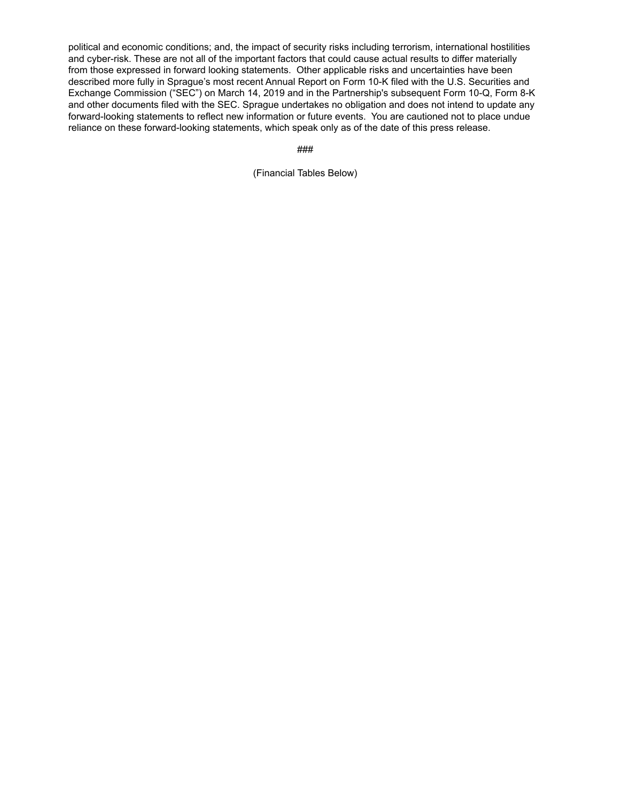political and economic conditions; and, the impact of security risks including terrorism, international hostilities and cyber-risk. These are not all of the important factors that could cause actual results to differ materially from those expressed in forward looking statements. Other applicable risks and uncertainties have been described more fully in Sprague's most recent Annual Report on Form 10-K filed with the U.S. Securities and Exchange Commission ("SEC") on March 14, 2019 and in the Partnership's subsequent Form 10-Q, Form 8-K and other documents filed with the SEC. Sprague undertakes no obligation and does not intend to update any forward-looking statements to reflect new information or future events. You are cautioned not to place undue reliance on these forward-looking statements, which speak only as of the date of this press release.

###

(Financial Tables Below)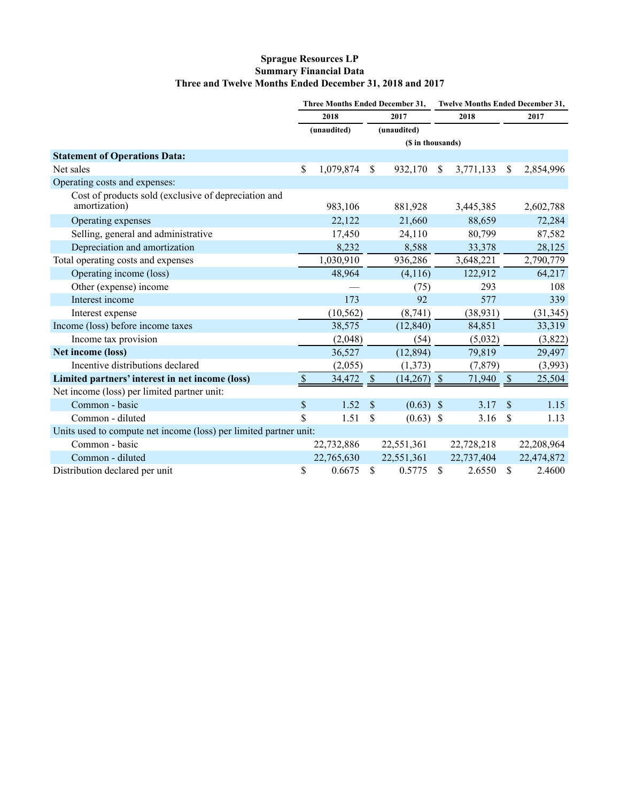# **Sprague Resources LP Summary Financial Data Three and Twelve Months Ended December 31, 2018 and 2017**

|                                                                       | Three Months Ended December 31, |             |                           |               | <b>Twelve Months Ended December 31,</b> |            |                           |            |  |
|-----------------------------------------------------------------------|---------------------------------|-------------|---------------------------|---------------|-----------------------------------------|------------|---------------------------|------------|--|
|                                                                       | 2018                            |             | 2017                      |               | 2018                                    |            |                           | 2017       |  |
|                                                                       |                                 | (unaudited) |                           | (unaudited)   |                                         |            |                           |            |  |
|                                                                       | (\$ in thousands)               |             |                           |               |                                         |            |                           |            |  |
| <b>Statement of Operations Data:</b>                                  |                                 |             |                           |               |                                         |            |                           |            |  |
| Net sales                                                             | \$                              | 1,079,874   | \$                        | 932,170       | \$                                      | 3,771,133  | \$                        | 2,854,996  |  |
| Operating costs and expenses:                                         |                                 |             |                           |               |                                         |            |                           |            |  |
| Cost of products sold (exclusive of depreciation and<br>amortization) |                                 | 983,106     |                           | 881,928       |                                         | 3,445,385  |                           | 2,602,788  |  |
| Operating expenses                                                    |                                 | 22,122      |                           | 21,660        |                                         | 88,659     |                           | 72,284     |  |
| Selling, general and administrative                                   |                                 | 17,450      |                           | 24,110        |                                         | 80,799     |                           | 87,582     |  |
| Depreciation and amortization                                         |                                 | 8,232       |                           | 8,588         |                                         | 33,378     |                           | 28,125     |  |
| Total operating costs and expenses                                    |                                 | 1,030,910   |                           | 936,286       |                                         | 3,648,221  |                           | 2,790,779  |  |
| Operating income (loss)                                               |                                 | 48,964      |                           | (4,116)       |                                         | 122,912    |                           | 64,217     |  |
| Other (expense) income                                                |                                 |             |                           | (75)          |                                         | 293        |                           | 108        |  |
| Interest income                                                       |                                 | 173         |                           | 92            |                                         | 577        |                           | 339        |  |
| Interest expense                                                      |                                 | (10, 562)   |                           | (8,741)       |                                         | (38, 931)  |                           | (31, 345)  |  |
| Income (loss) before income taxes                                     |                                 | 38,575      |                           | (12, 840)     |                                         | 84,851     |                           | 33,319     |  |
| Income tax provision                                                  |                                 | (2,048)     |                           | (54)          |                                         | (5,032)    |                           | (3,822)    |  |
| Net income (loss)                                                     |                                 | 36,527      |                           | (12, 894)     |                                         | 79,819     |                           | 29,497     |  |
| Incentive distributions declared                                      |                                 | (2,055)     |                           | (1,373)       |                                         | (7, 879)   |                           | (3,993)    |  |
| Limited partners' interest in net income (loss)                       | $\boldsymbol{\mathsf{S}}$       | 34,472      | $\boldsymbol{\mathsf{S}}$ | $(14,267)$ \$ |                                         | 71,940     | $\boldsymbol{\mathsf{S}}$ | 25,504     |  |
| Net income (loss) per limited partner unit:                           |                                 |             |                           |               |                                         |            |                           |            |  |
| Common - basic                                                        | \$                              | 1.52        | \$                        | $(0.63)$ \$   |                                         | 3.17       | $\boldsymbol{\mathsf{S}}$ | 1.15       |  |
| Common - diluted                                                      | \$                              | 1.51        | \$                        | $(0.63)$ \$   |                                         | 3.16       | \$                        | 1.13       |  |
| Units used to compute net income (loss) per limited partner unit:     |                                 |             |                           |               |                                         |            |                           |            |  |
| Common - basic                                                        |                                 | 22,732,886  |                           | 22,551,361    |                                         | 22,728,218 |                           | 22,208,964 |  |
| Common - diluted                                                      |                                 | 22,765,630  |                           | 22,551,361    |                                         | 22,737,404 |                           | 22,474,872 |  |
| Distribution declared per unit                                        | \$                              | 0.6675      | \$                        | 0.5775        | \$                                      | 2.6550     | \$                        | 2.4600     |  |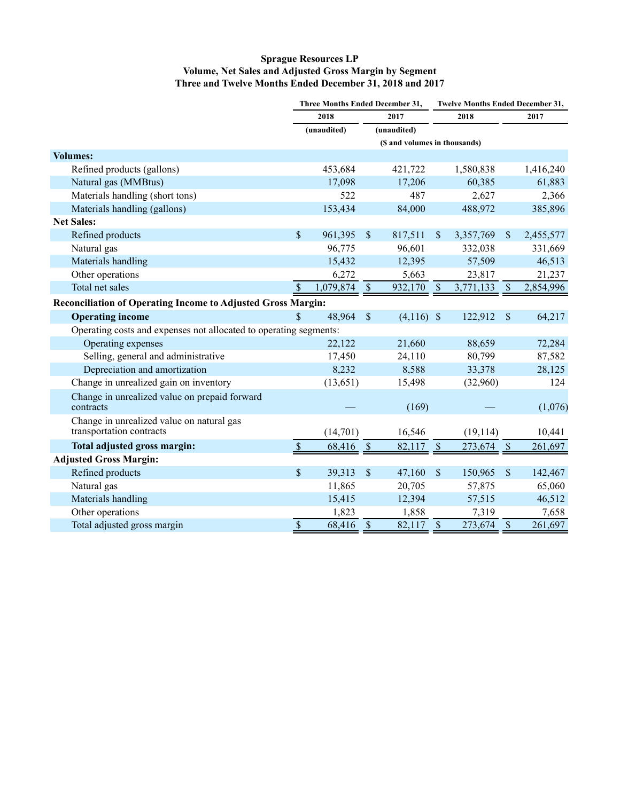# **Sprague Resources LP Volume, Net Sales and Adjusted Gross Margin by Segment Three and Twelve Months Ended December 31, 2018 and 2017**

|                                                                       |               | Three Months Ended December 31, |               |                               |                           | <b>Twelve Months Ended December 31,</b> |               |           |  |  |
|-----------------------------------------------------------------------|---------------|---------------------------------|---------------|-------------------------------|---------------------------|-----------------------------------------|---------------|-----------|--|--|
|                                                                       | 2018          |                                 | 2017          |                               | 2018                      |                                         |               | 2017      |  |  |
|                                                                       |               | (unaudited)                     |               | (unaudited)                   |                           |                                         |               |           |  |  |
|                                                                       |               |                                 |               | (\$ and volumes in thousands) |                           |                                         |               |           |  |  |
| <b>Volumes:</b>                                                       |               |                                 |               |                               |                           |                                         |               |           |  |  |
| Refined products (gallons)                                            |               | 453,684                         |               | 421,722                       |                           | 1,580,838                               |               | 1,416,240 |  |  |
| Natural gas (MMBtus)                                                  |               | 17,098                          |               | 17,206                        |                           | 60,385                                  |               | 61,883    |  |  |
| Materials handling (short tons)                                       |               | 522                             |               | 487                           |                           | 2,627                                   |               | 2,366     |  |  |
| Materials handling (gallons)                                          |               | 153,434                         |               | 84,000                        |                           | 488,972                                 |               | 385,896   |  |  |
| <b>Net Sales:</b>                                                     |               |                                 |               |                               |                           |                                         |               |           |  |  |
| Refined products                                                      | $\mathsf{\$}$ | 961,395                         | $\mathcal{S}$ | 817,511                       | $\boldsymbol{\mathsf{S}}$ | 3,357,769                               | $\mathcal{S}$ | 2,455,577 |  |  |
| Natural gas                                                           |               | 96,775                          |               | 96,601                        |                           | 332,038                                 |               | 331,669   |  |  |
| Materials handling                                                    |               | 15,432                          |               | 12,395                        |                           | 57,509                                  |               | 46,513    |  |  |
| Other operations                                                      |               | 6,272                           |               | 5,663                         |                           | 23,817                                  |               | 21,237    |  |  |
| Total net sales                                                       | $\mathcal{S}$ | 1,079,874                       | $\mathcal{S}$ | 932,170                       | $\mathcal{S}$             | 3,771,133                               | $\mathcal{S}$ | 2,854,996 |  |  |
| <b>Reconciliation of Operating Income to Adjusted Gross Margin:</b>   |               |                                 |               |                               |                           |                                         |               |           |  |  |
| <b>Operating income</b>                                               | $\mathbf S$   | 48,964                          | $\mathcal{S}$ | $(4,116)$ \$                  |                           | 122,912                                 | $\sqrt{3}$    | 64,217    |  |  |
| Operating costs and expenses not allocated to operating segments:     |               |                                 |               |                               |                           |                                         |               |           |  |  |
| Operating expenses                                                    |               | 22,122                          |               | 21,660                        |                           | 88,659                                  |               | 72,284    |  |  |
| Selling, general and administrative                                   |               | 17,450                          |               | 24,110                        |                           | 80,799                                  |               | 87,582    |  |  |
| Depreciation and amortization                                         |               | 8,232                           |               | 8,588                         |                           | 33,378                                  |               | 28,125    |  |  |
| Change in unrealized gain on inventory                                |               | (13, 651)                       |               | 15,498                        |                           | (32,960)                                |               | 124       |  |  |
| Change in unrealized value on prepaid forward<br>contracts            |               |                                 |               | (169)                         |                           |                                         |               | (1,076)   |  |  |
| Change in unrealized value on natural gas<br>transportation contracts |               | (14,701)                        |               | 16,546                        |                           | (19, 114)                               |               | 10,441    |  |  |
| Total adjusted gross margin:                                          | $\mathcal{S}$ | 68,416                          | $\mathcal{S}$ | 82,117 \$                     |                           | 273,674                                 | $\sqrt{3}$    | 261,697   |  |  |
| <b>Adjusted Gross Margin:</b>                                         |               |                                 |               |                               |                           |                                         |               |           |  |  |
| Refined products                                                      | $\mathbf S$   | 39,313                          | $\mathcal{S}$ | 47,160                        | $\mathcal{S}$             | 150,965                                 | $\mathcal{S}$ | 142,467   |  |  |
| Natural gas                                                           |               | 11,865                          |               | 20,705                        |                           | 57,875                                  |               | 65,060    |  |  |
| Materials handling                                                    |               | 15,415                          |               | 12,394                        |                           | 57,515                                  |               | 46,512    |  |  |
| Other operations                                                      |               | 1,823                           |               | 1,858                         |                           | 7,319                                   |               | 7,658     |  |  |
| Total adjusted gross margin                                           | $\mathbb{S}$  | 68,416                          | $\mathcal{S}$ | 82,117                        | $\sqrt{\ }$               | 273,674                                 | $\mathcal{S}$ | 261,697   |  |  |